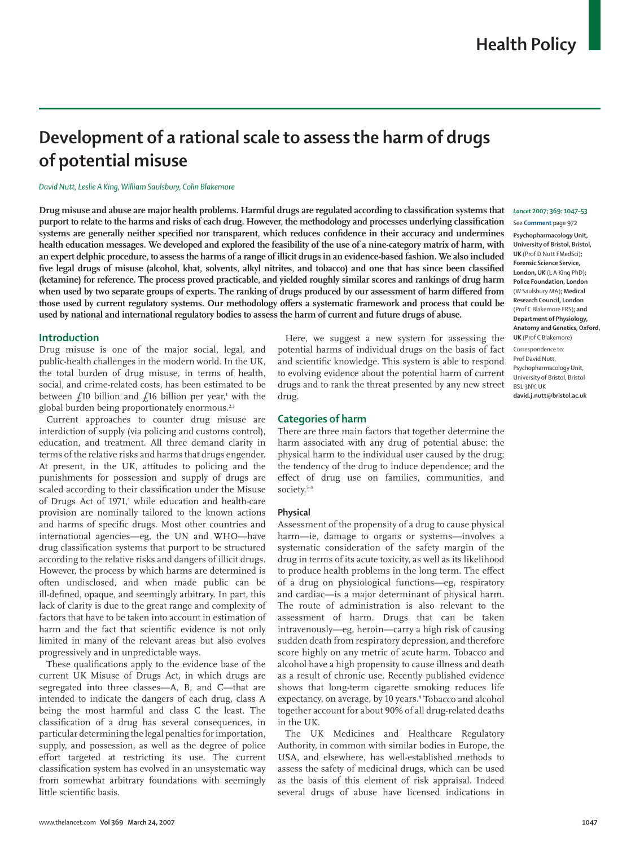# **Development of a rational scale to assess the harm of drugs of potential misuse**

# *David Nutt, Leslie A King, William Saulsbury, Colin Blakemore*

Drug misuse and abuse are major health problems. Harmful drugs are regulated according to classification systems that purport to relate to the harms and risks of each drug. However, the methodology and processes underlying classification systems are generally neither specified nor transparent, which reduces confidence in their accuracy and undermines **health education messages. We developed and explored the feasibility of the use of a nine-category matrix of harm, with an expert delphic procedure, to assess the harms of a range of illicit drugs in an evidence-based fashion. We also included**  five legal drugs of misuse (alcohol, khat, solvents, alkyl nitrites, and tobacco) and one that has since been classified **(ketamine) for reference. The process proved practicable, and yielded roughly similar scores and rankings of drug harm**  when used by two separate groups of experts. The ranking of drugs produced by our assessment of harm differed from those used by current regulatory systems. Our methodology offers a systematic framework and process that could be **used by national and international regulatory bodies to assess the harm of current and future drugs of abuse.**

## **Introduction**

Drug misuse is one of the major social, legal, and public-health challenges in the modern world. In the UK, the total burden of drug misuse, in terms of health, social, and crime-related costs, has been estimated to be between £10 billion and £16 billion per year,1 with the global burden being proportionately enormous.<sup>2,3</sup>

Current approaches to counter drug misuse are interdiction of supply (via policing and customs control), education, and treatment. All three demand clarity in terms of the relative risks and harms that drugs engender. At present, in the UK, attitudes to policing and the punishments for possession and supply of drugs are scaled according to their classification under the Misuse of Drugs Act of 1971,<sup>4</sup> while education and health-care provision are nominally tailored to the known actions and harms of specific drugs. Most other countries and international agencies—eg, the UN and WHO—have drug classification systems that purport to be structured according to the relative risks and dangers of illicit drugs. However, the process by which harms are determined is often undisclosed, and when made public can be ill-defined, opaque, and seemingly arbitrary. In part, this lack of clarity is due to the great range and complexity of factors that have to be taken into account in estimation of harm and the fact that scientific evidence is not only limited in many of the relevant areas but also evolves progressively and in unpredictable ways.

These qualifications apply to the evidence base of the current UK Misuse of Drugs Act, in which drugs are segregated into three classes—A, B, and C—that are intended to indicate the dangers of each drug, class A being the most harmful and class C the least. The classification of a drug has several consequences, in particular determining the legal penalties for importation, supply, and possession, as well as the degree of police effort targeted at restricting its use. The current classification system has evolved in an unsystematic way from somewhat arbitrary foundations with seemingly little scientific basis.

Here, we suggest a new system for assessing the potential harms of individual drugs on the basis of fact and scientific knowledge. This system is able to respond to evolving evidence about the potential harm of current drugs and to rank the threat presented by any new street drug.

## **Categories of harm**

There are three main factors that together determine the harm associated with any drug of potential abuse: the physical harm to the individual user caused by the drug; the tendency of the drug to induce dependence; and the effect of drug use on families, communities, and society.<sup>5-8</sup>

### **Physical**

Assessment of the propensity of a drug to cause physical harm—ie, damage to organs or systems—involves a systematic consideration of the safety margin of the drug in terms of its acute toxicity, as well as its likelihood to produce health problems in the long term. The effect of a drug on physiological functions—eg, respiratory and cardiac—is a major determinant of physical harm. The route of administration is also relevant to the assessment of harm. Drugs that can be taken intravenously—eg, heroin—carry a high risk of causing sudden death from respiratory depression, and therefore score highly on any metric of acute harm. Tobacco and alcohol have a high propensity to cause illness and death as a result of chronic use. Recently published evidence shows that long-term cigarette smoking reduces life expectancy, on average, by 10 years.<sup>9</sup> Tobacco and alcohol together account for about 90% of all drug-related deaths in the UK.

The UK Medicines and Healthcare Regulatory Authority, in common with similar bodies in Europe, the USA, and elsewhere, has well-established methods to assess the safety of medicinal drugs, which can be used as the basis of this element of risk appraisal. Indeed several drugs of abuse have licensed indications in

# *Lancet* **2007; 369: 1047–53**

See **Comment** page 972 **Psychopharmacology Unit, University of Bristol, Bristol, UK** (Prof D Nutt FMedSci)**; Forensic Science Service, London, UK** (L A King PhD)**; Police Foundation, London** (W Saulsbury MA)**; Medical Research Council, London**  (Prof C Blakemore FRS)**; and Department of Physiology,** 

**Anatomy and Genetics, Oxford, UK** (Prof C Blakemore) Correspondence to: Prof David Nutt,

Psychopharmacology Unit, University of Bristol, Bristol BS1 3NY, UK **david.j.nutt@bristol.ac.uk**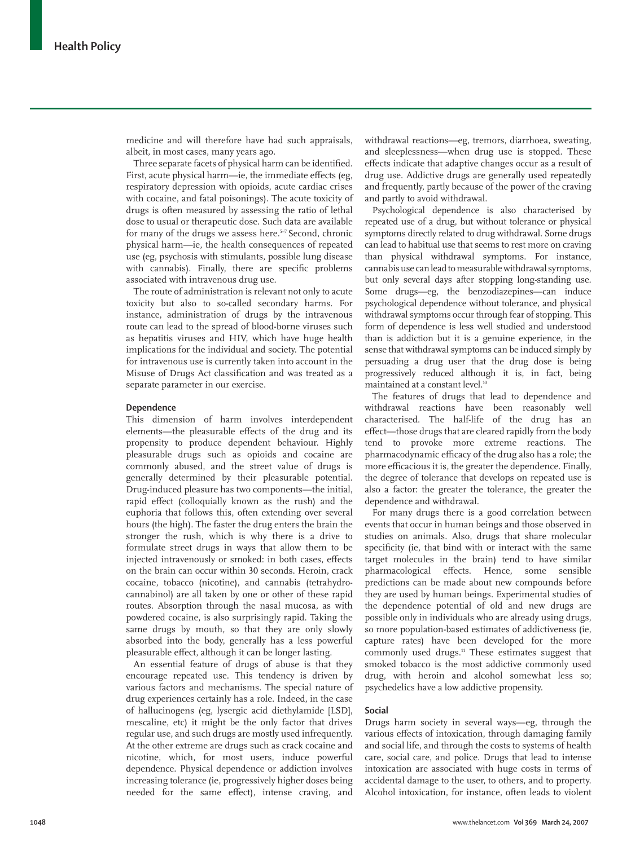medicine and will therefore have had such appraisals, albeit, in most cases, many years ago.

Three separate facets of physical harm can be identified. First, acute physical harm—ie, the immediate effects (eg, respiratory depression with opioids, acute cardiac crises with cocaine, and fatal poisonings). The acute toxicity of drugs is often measured by assessing the ratio of lethal dose to usual or therapeutic dose. Such data are available for many of the drugs we assess here.<sup>5-7</sup> Second, chronic physical harm—ie, the health consequences of repeated use (eg, psychosis with stimulants, possible lung disease with cannabis). Finally, there are specific problems associated with intravenous drug use.

The route of administration is relevant not only to acute toxicity but also to so-called secondary harms. For instance, administration of drugs by the intravenous route can lead to the spread of blood-borne viruses such as hepatitis viruses and HIV, which have huge health implications for the individual and society. The potential for intravenous use is currently taken into account in the Misuse of Drugs Act classification and was treated as a separate parameter in our exercise.

### **Dependence**

This dimension of harm involves interdependent elements—the pleasurable effects of the drug and its propensity to produce dependent behaviour. Highly pleasurable drugs such as opioids and cocaine are commonly abused, and the street value of drugs is generally determined by their pleasurable potential. Drug-induced pleasure has two components—the initial, rapid effect (colloquially known as the rush) and the euphoria that follows this, often extending over several hours (the high). The faster the drug enters the brain the stronger the rush, which is why there is a drive to formulate street drugs in ways that allow them to be injected intravenously or smoked: in both cases, effects on the brain can occur within 30 seconds. Heroin, crack cocaine, tobacco (nicotine), and cannabis (tetrahydrocannabinol) are all taken by one or other of these rapid routes. Absorption through the nasal mucosa, as with powdered cocaine, is also surprisingly rapid. Taking the same drugs by mouth, so that they are only slowly absorbed into the body, generally has a less powerful pleasurable effect, although it can be longer lasting.

An essential feature of drugs of abuse is that they encourage repeated use. This tendency is driven by various factors and mechanisms. The special nature of drug experiences certainly has a role. Indeed, in the case of hallucinogens (eg, lysergic acid diethylamide [LSD], mescaline, etc) it might be the only factor that drives regular use, and such drugs are mostly used infrequently. At the other extreme are drugs such as crack cocaine and nicotine, which, for most users, induce powerful dependence. Physical dependence or addiction involves increasing tolerance (ie, progressively higher doses being needed for the same effect), intense craving, and withdrawal reactions—eg, tremors, diarrhoea, sweating, and sleeplessness—when drug use is stopped. These effects indicate that adaptive changes occur as a result of drug use. Addictive drugs are generally used repeatedly and frequently, partly because of the power of the craving and partly to avoid withdrawal.

Psychological dependence is also characterised by repeated use of a drug, but without tolerance or physical symptoms directly related to drug withdrawal. Some drugs can lead to habitual use that seems to rest more on craving than physical withdrawal symptoms. For instance, cannabis use can lead to measurable withdrawal symptoms, but only several days after stopping long-standing use. Some drugs—eg, the benzodiazepines—can induce psychological dependence without tolerance, and physical withdrawal symptoms occur through fear of stopping. This form of dependence is less well studied and understood than is addiction but it is a genuine experience, in the sense that withdrawal symptoms can be induced simply by persuading a drug user that the drug dose is being progressively reduced although it is, in fact, being maintained at a constant level.<sup>10</sup>

The features of drugs that lead to dependence and withdrawal reactions have been reasonably well characterised. The half-life of the drug has an effect—those drugs that are cleared rapidly from the body tend to provoke more extreme reactions. The pharmacodynamic efficacy of the drug also has a role; the more efficacious it is, the greater the dependence. Finally, the degree of tolerance that develops on repeated use is also a factor: the greater the tolerance, the greater the dependence and withdrawal.

For many drugs there is a good correlation between events that occur in human beings and those observed in studies on animals. Also, drugs that share molecular specificity (ie, that bind with or interact with the same target molecules in the brain) tend to have similar pharmacological effects. Hence, some sensible predictions can be made about new compounds before they are used by human beings. Experimental studies of the dependence potential of old and new drugs are possible only in individuals who are already using drugs, so more population-based estimates of addictiveness (ie, capture rates) have been developed for the more commonly used drugs.11 These estimates suggest that smoked tobacco is the most addictive commonly used drug, with heroin and alcohol somewhat less so; psychedelics have a low addictive propensity.

## **Social**

Drugs harm society in several ways—eg, through the various effects of intoxication, through damaging family and social life, and through the costs to systems of health care, social care, and police. Drugs that lead to intense intoxication are associated with huge costs in terms of accidental damage to the user, to others, and to property. Alcohol intoxication, for instance, often leads to violent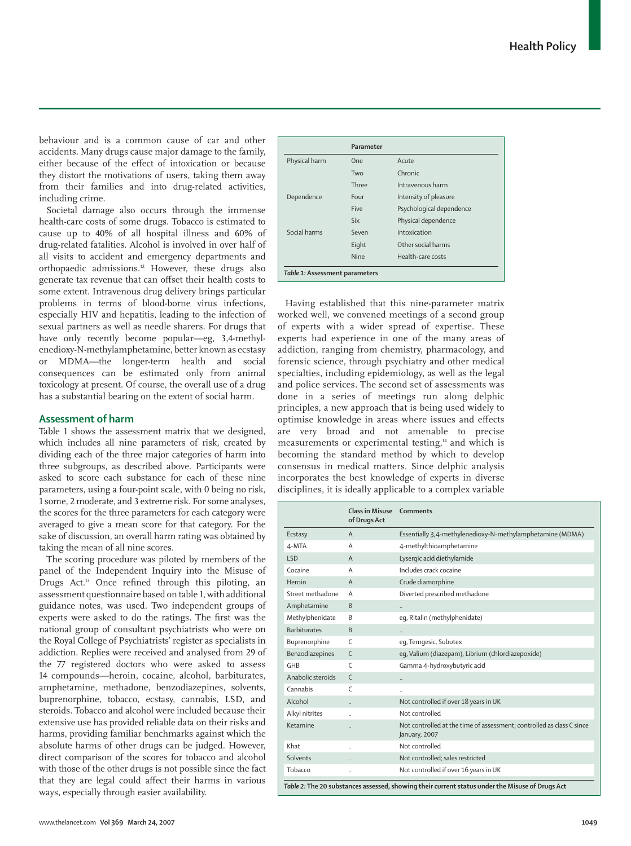behaviour and is a common cause of car and other accidents. Many drugs cause major damage to the family, either because of the effect of intoxication or because they distort the motivations of users, taking them away from their families and into drug-related activities, including crime.

Societal damage also occurs through the immense health-care costs of some drugs. Tobacco is estimated to cause up to 40% of all hospital illness and 60% of drug-related fatalities. Alcohol is involved in over half of all visits to accident and emergency departments and orthopaedic admissions.12 However, these drugs also generate tax revenue that can offset their health costs to some extent. Intravenous drug delivery brings particular problems in terms of blood-borne virus infections, especially HIV and hepatitis, leading to the infection of sexual partners as well as needle sharers. For drugs that have only recently become popular—eg, 3,4-methylenedioxy-N-methylamphetamine, better known as ecstasy or MDMA—the longer-term health and social consequences can be estimated only from animal toxicology at present. Of course, the overall use of a drug has a substantial bearing on the extent of social harm.

# **Assessment of harm**

Table 1 shows the assessment matrix that we designed, which includes all nine parameters of risk, created by dividing each of the three major categories of harm into three subgroups, as described above. Participants were asked to score each substance for each of these nine parameters, using a four-point scale, with 0 being no risk, 1 some, 2 moderate, and 3 extreme risk. For some analyses, the scores for the three parameters for each category were averaged to give a mean score for that category. For the sake of discussion, an overall harm rating was obtained by taking the mean of all nine scores.

The scoring procedure was piloted by members of the panel of the Independent Inquiry into the Misuse of Drugs Act.<sup>13</sup> Once refined through this piloting, an assessment questionnaire based on table 1, with additional guidance notes, was used. Two independent groups of experts were asked to do the ratings. The first was the national group of consultant psychiatrists who were on the Royal College of Psychiatrists' register as specialists in addiction. Replies were received and analysed from 29 of the 77 registered doctors who were asked to assess 14 compounds—heroin, cocaine, alcohol, barbiturates, amphetamine, methadone, benzodiazepines, solvents, buprenorphine, tobacco, ecstasy, cannabis, LSD, and steroids. Tobacco and alcohol were included because their extensive use has provided reliable data on their risks and harms, providing familiar benchmarks against which the absolute harms of other drugs can be judged. However, direct comparison of the scores for tobacco and alcohol with those of the other drugs is not possible since the fact that they are legal could affect their harms in various ways, especially through easier availability.

|               | Parameter |                          |
|---------------|-----------|--------------------------|
| Physical harm | One       | Acute                    |
|               | Two       | Chronic                  |
|               | Three     | Intravenous harm         |
| Dependence    | Four      | Intensity of pleasure    |
|               | Five      | Psychological dependence |
|               | Six       | Physical dependence      |
| Social harms  | Seven     | Intoxication             |
|               | Eight     | Other social harms       |
|               | Nine      | Health-care costs        |

Having established that this nine-parameter matrix worked well, we convened meetings of a second group of experts with a wider spread of expertise. These experts had experience in one of the many areas of addiction, ranging from chemistry, pharmacology, and forensic science, through psychiatry and other medical specialties, including epidemiology, as well as the legal and police services. The second set of assessments was done in a series of meetings run along delphic principles, a new approach that is being used widely to optimise knowledge in areas where issues and effects are very broad and not amenable to precise measurements or experimental testing,<sup>14</sup> and which is becoming the standard method by which to develop consensus in medical matters. Since delphic analysis incorporates the best knowledge of experts in diverse disciplines, it is ideally applicable to a complex variable

|                                                                                                 | <b>Class in Misuse Comments</b><br>of Drugs Act |                                                                                        |  |  |  |  |  |
|-------------------------------------------------------------------------------------------------|-------------------------------------------------|----------------------------------------------------------------------------------------|--|--|--|--|--|
| Ecstasy                                                                                         | A                                               | Essentially 3,4-methylenedioxy-N-methylamphetamine (MDMA)                              |  |  |  |  |  |
| 4-MTA                                                                                           | A                                               | 4-methylthioamphetamine                                                                |  |  |  |  |  |
| <b>ISD</b>                                                                                      | $\mathsf{A}$                                    | Lysergic acid diethylamide                                                             |  |  |  |  |  |
| Cocaine                                                                                         | A                                               | Includes crack cocaine                                                                 |  |  |  |  |  |
| Heroin                                                                                          | $\overline{A}$                                  | Crude diamorphine                                                                      |  |  |  |  |  |
| Street methadone                                                                                | A                                               | Diverted prescribed methadone                                                          |  |  |  |  |  |
| Amphetamine                                                                                     | <sub>B</sub>                                    | $\ddotsc$                                                                              |  |  |  |  |  |
| Methylphenidate                                                                                 | B                                               | eg, Ritalin (methylphenidate)                                                          |  |  |  |  |  |
| <b>Barbiturates</b>                                                                             | <sub>B</sub>                                    |                                                                                        |  |  |  |  |  |
| Buprenorphine                                                                                   | C                                               | eg, Temgesic, Subutex                                                                  |  |  |  |  |  |
| Benzodiazepines                                                                                 | $\mathsf{C}$                                    | eg, Valium (diazepam), Librium (chlordiazepoxide)                                      |  |  |  |  |  |
| GHB                                                                                             | $\epsilon$                                      | Gamma 4-hydroxybutyric acid                                                            |  |  |  |  |  |
| Anabolic steroids                                                                               | C                                               |                                                                                        |  |  |  |  |  |
| Cannabis                                                                                        | $\epsilon$                                      | $\ddot{\phantom{a}}$                                                                   |  |  |  |  |  |
| Alcohol                                                                                         | $\ddot{\phantom{a}}$                            | Not controlled if over 18 years in UK                                                  |  |  |  |  |  |
| Alkyl nitrites                                                                                  |                                                 | Not controlled                                                                         |  |  |  |  |  |
| Ketamine                                                                                        | $\ddot{\phantom{a}}$                            | Not controlled at the time of assessment; controlled as class C since<br>January, 2007 |  |  |  |  |  |
| Khat                                                                                            |                                                 | Not controlled                                                                         |  |  |  |  |  |
| Solvents                                                                                        | $\ddot{\phantom{a}}$                            | Not controlled; sales restricted                                                       |  |  |  |  |  |
| Tobacco                                                                                         |                                                 | Not controlled if over 16 years in UK                                                  |  |  |  |  |  |
| Table 2: The 20 substances assessed, showing their current status under the Misuse of Drugs Act |                                                 |                                                                                        |  |  |  |  |  |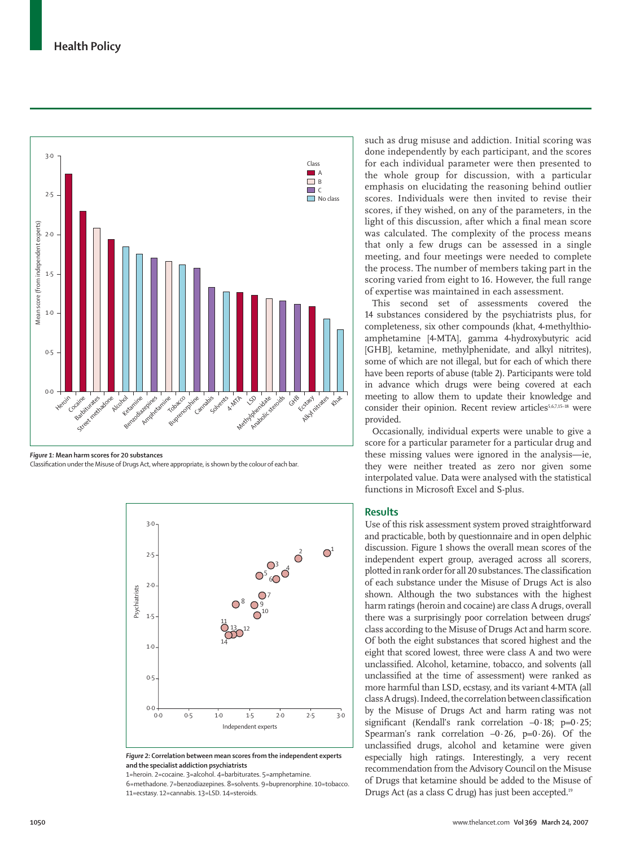

*Figure 1:* **Mean harm scores for 20 substances** Classification under the Misuse of Drugs Act, where appropriate, is shown by the colour of each bar



*Figure 2:* **Correlation between mean scores from the independent experts and the specialist addiction psychiatrists**

1=heroin. 2=cocaine. 3=alcohol. 4=barbiturates. 5=amphetamine. 6=methadone. 7=benzodiazepines. 8=solvents. 9=buprenorphine. 10=tobacco. 11=ecstasy. 12=cannabis. 13=LSD. 14=steroids.

such as drug misuse and addiction. Initial scoring was done independently by each participant, and the scores for each individual parameter were then presented to the whole group for discussion, with a particular emphasis on elucidating the reasoning behind outlier scores. Individuals were then invited to revise their scores, if they wished, on any of the parameters, in the light of this discussion, after which a final mean score was calculated. The complexity of the process means that only a few drugs can be assessed in a single meeting, and four meetings were needed to complete the process. The number of members taking part in the scoring varied from eight to 16. However, the full range of expertise was maintained in each assessment.

This second set of assessments covered the 14 substances considered by the psychiatrists plus, for completeness, six other compounds (khat, 4-methylthioamphetamine [4-MTA], gamma 4-hydroxybutyric acid [GHB], ketamine, methylphenidate, and alkyl nitrites), some of which are not illegal, but for each of which there have been reports of abuse (table 2). Participants were told in advance which drugs were being covered at each meeting to allow them to update their knowledge and consider their opinion. Recent review articles<sup>5,6,7,15-18</sup> were provided.

Occasionally, individual experts were unable to give a score for a particular parameter for a particular drug and these missing values were ignored in the analysis—ie, they were neither treated as zero nor given some interpolated value. Data were analysed with the statistical functions in Microsoft Excel and S-plus.

# **Results**

Use of this risk assessment system proved straightforward and practicable, both by questionnaire and in open delphic discussion. Figure 1 shows the overall mean scores of the independent expert group, averaged across all scorers, plotted in rank order for all 20 substances. The classification of each substance under the Misuse of Drugs Act is also shown. Although the two substances with the highest harm ratings (heroin and cocaine) are class A drugs, overall there was a surprisingly poor correlation between drugs' class according to the Misuse of Drugs Act and harm score. Of both the eight substances that scored highest and the eight that scored lowest, three were class A and two were unclassified. Alcohol, ketamine, tobacco, and solvents (all unclassified at the time of assessment) were ranked as more harmful than LSD, ecstasy, and its variant 4-MTA (all class A drugs). Indeed, the correlation between classification by the Misuse of Drugs Act and harm rating was not significant (Kendall's rank correlation  $-0.18$ ; p=0.25; Spearman's rank correlation  $-0.26$ ,  $p=0.26$ ). Of the unclassified drugs, alcohol and ketamine were given especially high ratings. Interestingly, a very recent recommendation from the Advisory Council on the Misuse of Drugs that ketamine should be added to the Misuse of Drugs Act (as a class C drug) has just been accepted.<sup>19</sup>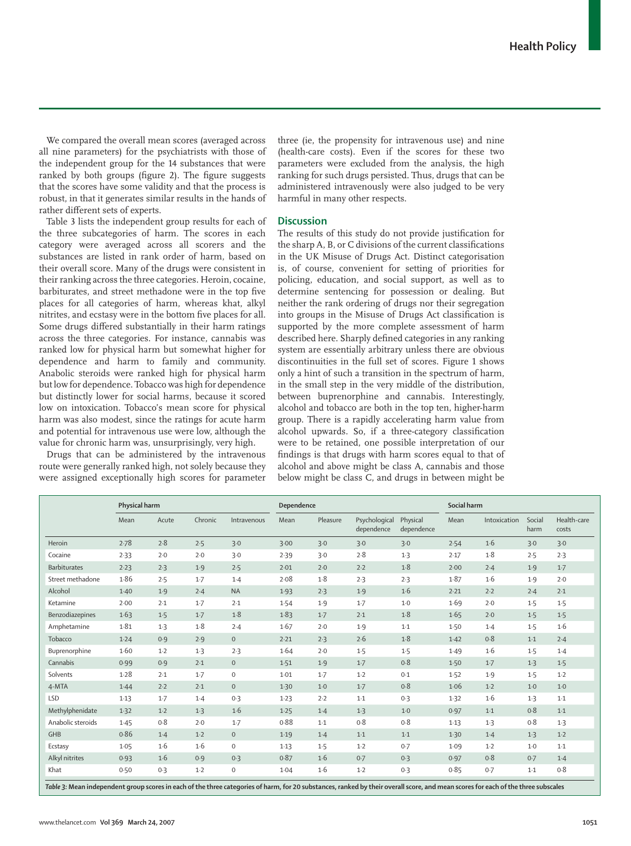We compared the overall mean scores (averaged across all nine parameters) for the psychiatrists with those of the independent group for the 14 substances that were ranked by both groups (figure 2). The figure suggests that the scores have some validity and that the process is robust, in that it generates similar results in the hands of rather different sets of experts.

Table 3 lists the independent group results for each of the three subcategories of harm. The scores in each category were averaged across all scorers and the substances are listed in rank order of harm, based on their overall score. Many of the drugs were consistent in their ranking across the three categories. Heroin, cocaine, barbiturates, and street methadone were in the top five places for all categories of harm, whereas khat, alkyl nitrites, and ecstasy were in the bottom five places for all. Some drugs differed substantially in their harm ratings across the three categories. For instance, cannabis was ranked low for physical harm but somewhat higher for dependence and harm to family and community. Anabolic steroids were ranked high for physical harm but low for dependence. Tobacco was high for dependence but distinctly lower for social harms, because it scored low on intoxication. Tobacco's mean score for physical harm was also modest, since the ratings for acute harm and potential for intravenous use were low, although the value for chronic harm was, unsurprisingly, very high.

Drugs that can be administered by the intravenous route were generally ranked high, not solely because they were assigned exceptionally high scores for parameter three (ie, the propensity for intravenous use) and nine (health-care costs). Even if the scores for these two parameters were excluded from the analysis, the high ranking for such drugs persisted. Thus, drugs that can be administered intravenously were also judged to be very harmful in many other respects.

# **Discussion**

The results of this study do not provide justification for the sharp A, B, or C divisions of the current classifications in the UK Misuse of Drugs Act. Distinct categorisation is, of course, convenient for setting of priorities for policing, education, and social support, as well as to determine sentencing for possession or dealing. But neither the rank ordering of drugs nor their segregation into groups in the Misuse of Drugs Act classification is supported by the more complete assessment of harm described here. Sharply defined categories in any ranking system are essentially arbitrary unless there are obvious discontinuities in the full set of scores. Figure 1 shows only a hint of such a transition in the spectrum of harm, in the small step in the very middle of the distribution, between buprenorphine and cannabis. Interestingly, alcohol and tobacco are both in the top ten, higher-harm group. There is a rapidly accelerating harm value from alcohol upwards. So, if a three-category classification were to be retained, one possible interpretation of our findings is that drugs with harm scores equal to that of alcohol and above might be class A, cannabis and those below might be class C, and drugs in between might be

|                                                                                                                                                                                   | Physical harm |       |         |              | Dependence |          |                             |                        | Social harm |              |                |                      |
|-----------------------------------------------------------------------------------------------------------------------------------------------------------------------------------|---------------|-------|---------|--------------|------------|----------|-----------------------------|------------------------|-------------|--------------|----------------|----------------------|
|                                                                                                                                                                                   | Mean          | Acute | Chronic | Intravenous  | Mean       | Pleasure | Psychological<br>dependence | Physical<br>dependence | Mean        | Intoxication | Social<br>harm | Health-care<br>costs |
| Heroin                                                                                                                                                                            | 2.78          | 2.8   | 2.5     | 3.0          | 3.00       | 3.0      | 3.0                         | 3.0                    | 2.54        | 1·6          | 3.0            | 3.0                  |
| Cocaine                                                                                                                                                                           | 2.33          | 2.0   | 2.0     | $3 - 0$      | 2.39       | $3-0$    | 2.8                         | 1.3                    | 2.17        | 1.8          | 2.5            | 2.3                  |
| <b>Barbiturates</b>                                                                                                                                                               | 2.23          | 2.3   | 1.9     | 2.5          | 2.01       | 2.0      | 2.2                         | 1.8                    | 2.00        | 2.4          | 1.9            | $1-7$                |
| Street methadone                                                                                                                                                                  | 1.86          | 2.5   | $1-7$   | $1-4$        | 2.08       | 1.8      | 2.3                         | 2.3                    | 1.87        | 1·6          | 1.9            | $2-0$                |
| Alcohol                                                                                                                                                                           | 1.40          | 1.9   | 2.4     | <b>NA</b>    | 1.93       | 2.3      | 1.9                         | 1·6                    | 2.21        | 2.2          | 2.4            | 2.1                  |
| Ketamine                                                                                                                                                                          | 2.00          | 2.1   | $1-7$   | 2.1          | 1.54       | 1.9      | $1-7$                       | $1-0$                  | 1.69        | 2.0          | 1.5            | 1.5                  |
| Benzodiazepines                                                                                                                                                                   | 1.63          | 1.5   | $1-7$   | 1.8          | 1.83       | $1-7$    | 2.1                         | 1.8                    | 1.65        | 2.0          | 1.5            | 1.5                  |
| Amphetamine                                                                                                                                                                       | 1.81          | $1-3$ | 1.8     | 2.4          | 1.67       | 2.0      | 1.9                         | $1.1\,$                | 1.50        | $1-4$        | 1.5            | 1.6                  |
| Tobacco                                                                                                                                                                           | 1.24          | 0.9   | 2.9     | $\mathbf{0}$ | 2.21       | 2.3      | 2.6                         | 1.8                    | 1.42        | 0.8          | $1.1$          | 2.4                  |
| Buprenorphine                                                                                                                                                                     | 1.60          | $1-2$ | 1.3     | 2.3          | 1.64       | 2.0      | 1.5                         | 1.5                    | 1.49        | 1.6          | 1.5            | $1-4$                |
| Cannabis                                                                                                                                                                          | 0.99          | 0.9   | 2.1     | $\mathbf 0$  | 1.51       | 1.9      | $1-7$                       | 0.8                    | 1.50        | $1-7$        | 1.3            | 1.5                  |
| Solvents                                                                                                                                                                          | 1.28          | 2.1   | $1-7$   | $\mathbf 0$  | 1.01       | $1-7$    | $1-2$                       | 0.1                    | 1.52        | 1.9          | 1.5            | $1-2$                |
| 4-MTA                                                                                                                                                                             | 1.44          | 2.2   | 2.1     | $\mathbf 0$  | 1.30       | $1-0$    | $1-7$                       | 0.8                    | 1.06        | $1-2$        | $1-0$          | $1-0$                |
| LSD                                                                                                                                                                               | 1.13          | 1·7   | 1.4     | 0.3          | 1.23       | 2.2      | $1-1$                       | 0.3                    | 1.32        | 1·6          | 1.3            | $1-1$                |
| Methylphenidate                                                                                                                                                                   | 1.32          | $1-2$ | 1.3     | 1·6          | 1.25       | 1.4      | 1.3                         | $1-0$                  | 0.97        | $1-1$        | 0.8            | $1-1$                |
| Anabolic steroids                                                                                                                                                                 | 1.45          | 0.8   | 2.0     | $1-7$        | 0.88       | $1-1$    | 0.8                         | 0.8                    | 1.13        | $1-3$        | 0.8            | 1.3                  |
| <b>GHB</b>                                                                                                                                                                        | 0.86          | $1-4$ | $1-2$   | $\mathbf{0}$ | 1.19       | $1-4$    | $1-1$                       | $1-1$                  | 1.30        | $1-4$        | 1.3            | $1-2$                |
| Ecstasy                                                                                                                                                                           | 1.05          | 1.6   | 1.6     | $\mathbf 0$  | 1.13       | 1.5      | $1-2$                       | 0.7                    | 1.09        | $1-2$        | $1-0$          | $1-1$                |
| Alkyl nitrites                                                                                                                                                                    | 0.93          | 1·6   | 0.9     | 0.3          | 0.87       | 1·6      | 0.7                         | 0.3                    | 0.97        | 0.8          | 0.7            | 1.4                  |
| Khat                                                                                                                                                                              | 0.50          | 0.3   | $1-2$   | 0            | 1.04       | 1·6      | $1-2$                       | 0.3                    | 0.85        | 0.7          | $1-1$          | 0.8                  |
| Table 3: Mean independent group scores in each of the three categories of harm, for 20 substances, ranked by their overall score, and mean scores for each of the three subscales |               |       |         |              |            |          |                             |                        |             |              |                |                      |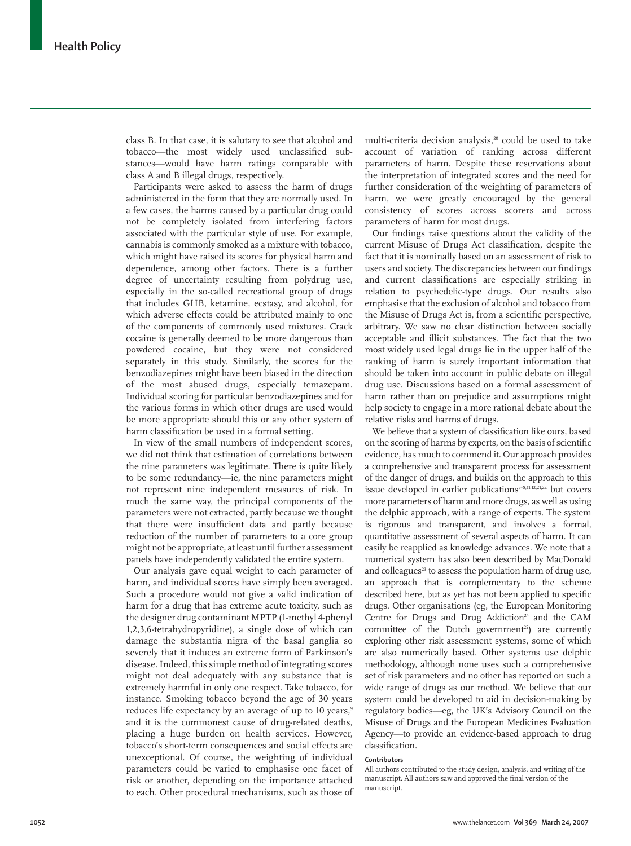class B. In that case, it is salutary to see that alcohol and tobacco—the most widely used unclassified substances—would have harm ratings comparable with class A and B illegal drugs, respectively.

Participants were asked to assess the harm of drugs administered in the form that they are normally used. In a few cases, the harms caused by a particular drug could not be completely isolated from interfering factors associated with the particular style of use. For example, cannabis is commonly smoked as a mixture with tobacco, which might have raised its scores for physical harm and dependence, among other factors. There is a further degree of uncertainty resulting from polydrug use, especially in the so-called recreational group of drugs that includes GHB, ketamine, ecstasy, and alcohol, for which adverse effects could be attributed mainly to one of the components of commonly used mixtures. Crack cocaine is generally deemed to be more dangerous than powdered cocaine, but they were not considered separately in this study. Similarly, the scores for the benzodiazepines might have been biased in the direction of the most abused drugs, especially temazepam. Individual scoring for particular benzodiazepines and for the various forms in which other drugs are used would be more appropriate should this or any other system of harm classification be used in a formal setting.

In view of the small numbers of independent scores, we did not think that estimation of correlations between the nine parameters was legitimate. There is quite likely to be some redundancy—ie, the nine parameters might not represent nine independent measures of risk. In much the same way, the principal components of the parameters were not extracted, partly because we thought that there were insufficient data and partly because reduction of the number of parameters to a core group might not be appropriate, at least until further assessment panels have independently validated the entire system.

Our analysis gave equal weight to each parameter of harm, and individual scores have simply been averaged. Such a procedure would not give a valid indication of harm for a drug that has extreme acute toxicity, such as the designer drug contaminant MPTP (1-methyl 4-phenyl 1,2,3,6-tetrahydropyridine), a single dose of which can damage the substantia nigra of the basal ganglia so severely that it induces an extreme form of Parkinson's disease. Indeed, this simple method of integrating scores might not deal adequately with any substance that is extremely harmful in only one respect. Take tobacco, for instance. Smoking tobacco beyond the age of 30 years reduces life expectancy by an average of up to 10 years,<sup>9</sup> and it is the commonest cause of drug-related deaths, placing a huge burden on health services. However, tobacco's short-term consequences and social effects are unexceptional. Of course, the weighting of individual parameters could be varied to emphasise one facet of risk or another, depending on the importance attached to each. Other procedural mechanisms, such as those of

multi-criteria decision analysis,<sup>20</sup> could be used to take account of variation of ranking across different parameters of harm. Despite these reservations about the interpretation of integrated scores and the need for further consideration of the weighting of parameters of harm, we were greatly encouraged by the general consistency of scores across scorers and across parameters of harm for most drugs.

Our findings raise questions about the validity of the current Misuse of Drugs Act classification, despite the fact that it is nominally based on an assessment of risk to users and society. The discrepancies between our findings and current classifications are especially striking in relation to psychedelic-type drugs. Our results also emphasise that the exclusion of alcohol and tobacco from the Misuse of Drugs Act is, from a scientific perspective, arbitrary. We saw no clear distinction between socially acceptable and illicit substances. The fact that the two most widely used legal drugs lie in the upper half of the ranking of harm is surely important information that should be taken into account in public debate on illegal drug use. Discussions based on a formal assessment of harm rather than on prejudice and assumptions might help society to engage in a more rational debate about the relative risks and harms of drugs.

We believe that a system of classification like ours, based on the scoring of harms by experts, on the basis of scientific evidence, has much to commend it. Our approach provides a comprehensive and transparent process for assessment of the danger of drugs, and builds on the approach to this issue developed in earlier publications<sup>5-8,11,12,21,22</sup> but covers more parameters of harm and more drugs, as well as using the delphic approach, with a range of experts. The system is rigorous and transparent, and involves a formal, quantitative assessment of several aspects of harm. It can easily be reapplied as knowledge advances. We note that a numerical system has also been described by MacDonald and colleagues<sup>23</sup> to assess the population harm of drug use, an approach that is complementary to the scheme described here, but as yet has not been applied to specific drugs. Other organisations (eg, the European Monitoring Centre for Drugs and Drug Addiction<sup>24</sup> and the CAM committee of the Dutch government<sup>25</sup>) are currently exploring other risk assessment systems, some of which are also numerically based. Other systems use delphic methodology, although none uses such a comprehensive set of risk parameters and no other has reported on such a wide range of drugs as our method. We believe that our system could be developed to aid in decision-making by regulatory bodies—eg, the UK's Advisory Council on the Misuse of Drugs and the European Medicines Evaluation Agency—to provide an evidence-based approach to drug classification.

#### **Contributors**

All authors contributed to the study design, analysis, and writing of the manuscript. All authors saw and approved the final version of the manuscript.